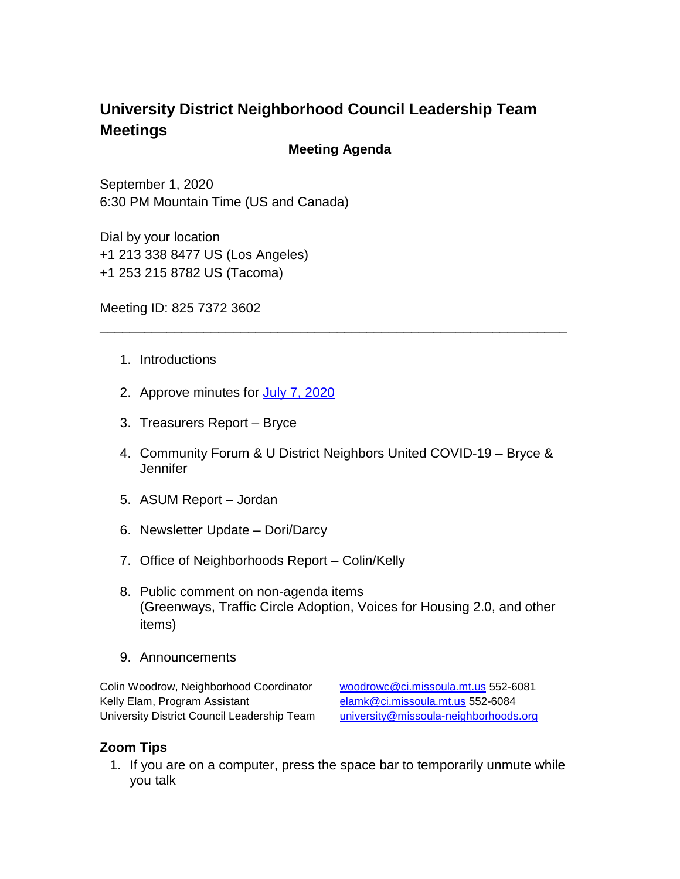## **University District Neighborhood Council Leadership Team Meetings**

## **Meeting Agenda**

September 1, 2020 6:30 PM Mountain Time (US and Canada)

Dial by your location +1 213 338 8477 US (Los Angeles) +1 253 215 8782 US (Tacoma)

Meeting ID: 825 7372 3602

- 1. Introductions
- 2. Approve minutes for [July 7, 2020](https://www.ci.missoula.mt.us/Archive.aspx?ADID=15276)
- 3. Treasurers Report Bryce
- 4. Community Forum & U District Neighbors United COVID-19 Bryce & Jennifer

\_\_\_\_\_\_\_\_\_\_\_\_\_\_\_\_\_\_\_\_\_\_\_\_\_\_\_\_\_\_\_\_\_\_\_\_\_\_\_\_\_\_\_\_\_\_\_\_\_\_\_\_\_\_\_\_\_\_\_\_\_\_\_

- 5. ASUM Report Jordan
- 6. Newsletter Update Dori/Darcy
- 7. Office of Neighborhoods Report Colin/Kelly
- 8. Public comment on non-agenda items (Greenways, Traffic Circle Adoption, Voices for Housing 2.0, and other items)
- 9. Announcements

Colin Woodrow, Neighborhood Coordinator [woodrowc@ci.missoula.mt.us](mailto:woodrowc@ci.missoula.mt.us) 552-6081 Kelly Elam, Program Assistant [elamk@ci.missoula.mt.us](mailto:elamk@ci.missoula.mt.us) 552-6084 University District Council Leadership Team [university@missoula-neighborhoods.org](mailto:university@missoula-neighborhoods.org)

## **Zoom Tips**

1. If you are on a computer, press the space bar to temporarily unmute while you talk